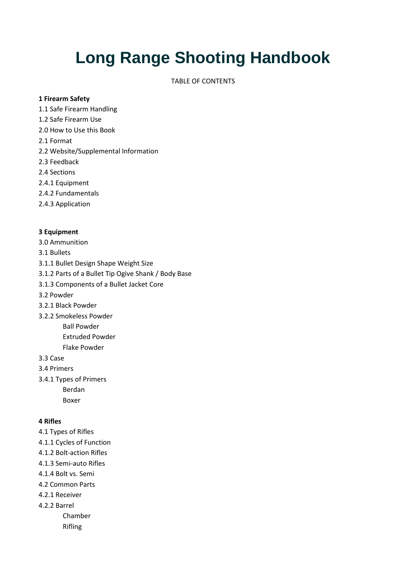# **Long Range Shooting Handbook**

## TABLE OF CONTENTS

## **1 Firearm Safety**

- 1.1 Safe Firearm Handling
- 1.2 Safe Firearm Use
- 2.0 How to Use this Book
- 2.1 Format
- 2.2 Website/Supplemental Information
- 2.3 Feedback
- 2.4 Sections
- 2.4.1 Equipment
- 2.4.2 Fundamentals
- 2.4.3 Application

# **3 Equipment**

- 3.0 Ammunition
- 3.1 Bullets
- 3.1.1 Bullet Design Shape Weight Size
- 3.1.2 Parts of a Bullet Tip Ogive Shank / Body Base
- 3.1.3 Components of a Bullet Jacket Core
- 3.2 Powder
- 3.2.1 Black Powder
- 3.2.2 Smokeless Powder
	- Ball Powder

Extruded Powder

- Flake Powder
- 3.3 Case
- 3.4 Primers
- 3.4.1 Types of Primers
	- Berdan Boxer

## **4 Rifles**

- 4.1 Types of Rifles
- 4.1.1 Cycles of Function
- 4.1.2 Bolt-action Rifles
- 4.1.3 Semi-auto Rifles
- 4.1.4 Bolt vs. Semi
- 4.2 Common Parts
- 4.2.1 Receiver
- 4.2.2 Barrel
	- Chamber
	- Rifling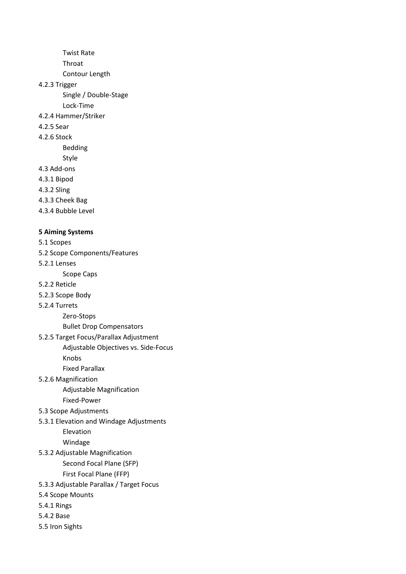Twist Rate

Throat

Contour Length

4.2.3 Trigger

Single / Double-Stage

- Lock-Time
- 4.2.4 Hammer/Striker
- 4.2.5 Sear

4.2.6 Stock

Bedding Style

4.3 Add-ons

- 4.3.1 Bipod
- 4.3.2 Sling
- 4.3.3 Cheek Bag
- 4.3.4 Bubble Level

# **5 Aiming Systems**

- 5.1 Scopes
- 5.2 Scope Components/Features
- 5.2.1 Lenses
	- Scope Caps
- 5.2.2 Reticle
- 5.2.3 Scope Body
- 5.2.4 Turrets

Zero-Stops

Bullet Drop Compensators

5.2.5 Target Focus/Parallax Adjustment

Adjustable Objectives vs. Side-Focus

Knobs Fixed Parallax

5.2.6 Magnification

Adjustable Magnification

Fixed-Power

- 5.3 Scope Adjustments
- 5.3.1 Elevation and Windage Adjustments

Elevation

Windage

- 5.3.2 Adjustable Magnification Second Focal Plane (SFP)
	- First Focal Plane (FFP)
- 5.3.3 Adjustable Parallax / Target Focus
- 5.4 Scope Mounts
- 5.4.1 Rings
- 5.4.2 Base
- 5.5 Iron Sights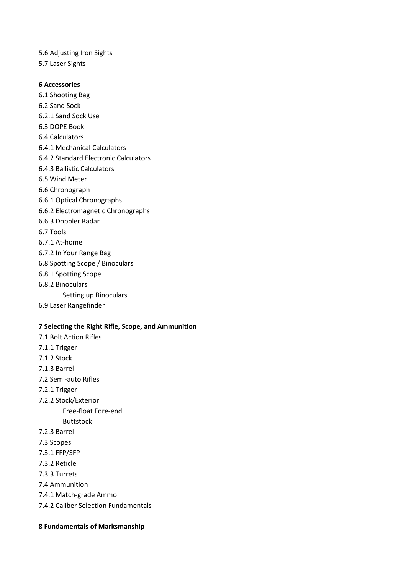- 5.6 Adjusting Iron Sights
- 5.7 Laser Sights

#### **6 Accessories**

6.1 Shooting Bag 6.2 Sand Sock 6.2.1 Sand Sock Use 6.3 DOPE Book 6.4 Calculators 6.4.1 Mechanical Calculators 6.4.2 Standard Electronic Calculators 6.4.3 Ballistic Calculators 6.5 Wind Meter 6.6 Chronograph 6.6.1 Optical Chronographs 6.6.2 Electromagnetic Chronographs 6.6.3 Doppler Radar 6.7 Tools 6.7.1 At-home 6.7.2 In Your Range Bag 6.8 Spotting Scope / Binoculars 6.8.1 Spotting Scope 6.8.2 Binoculars Setting up Binoculars 6.9 Laser Rangefinder

#### **7 Selecting the Right Rifle, Scope, and Ammunition**

- 7.1 Bolt Action Rifles
- 7.1.1 Trigger
- 7.1.2 Stock
- 7.1.3 Barrel
- 7.2 Semi-auto Rifles
- 7.2.1 Trigger
- 7.2.2 Stock/Exterior

Free-float Fore-end Buttstock

- 7.2.3 Barrel
- 7.3 Scopes
- 7.3.1 FFP/SFP
- 7.3.2 Reticle
- 7.3.3 Turrets
- 7.4 Ammunition
- 7.4.1 Match-grade Ammo
- 7.4.2 Caliber Selection Fundamentals

#### **8 Fundamentals of Marksmanship**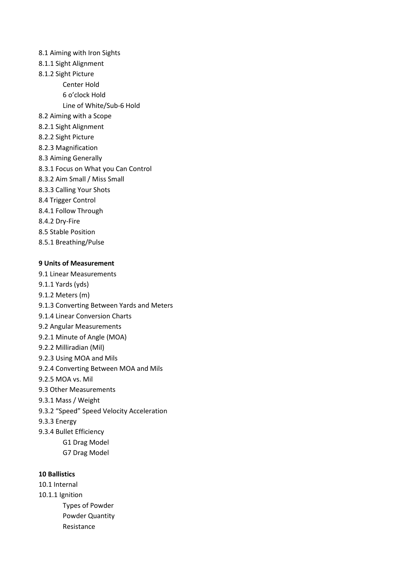- 8.1 Aiming with Iron Sights
- 8.1.1 Sight Alignment
- 8.1.2 Sight Picture
	- Center Hold
	- 6 o'clock Hold
	- Line of White/Sub-6 Hold
- 8.2 Aiming with a Scope
- 8.2.1 Sight Alignment
- 8.2.2 Sight Picture
- 8.2.3 Magnification
- 8.3 Aiming Generally
- 8.3.1 Focus on What you Can Control
- 8.3.2 Aim Small / Miss Small
- 8.3.3 Calling Your Shots
- 8.4 Trigger Control
- 8.4.1 Follow Through
- 8.4.2 Dry-Fire
- 8.5 Stable Position
- 8.5.1 Breathing/Pulse

#### **9 Units of Measurement**

9.1 Linear Measurements 9.1.1 Yards (yds) 9.1.2 Meters (m) 9.1.3 Converting Between Yards and Meters 9.1.4 Linear Conversion Charts 9.2 Angular Measurements 9.2.1 Minute of Angle (MOA) 9.2.2 Milliradian (Mil) 9.2.3 Using MOA and Mils 9.2.4 Converting Between MOA and Mils 9.2.5 MOA vs. Mil 9.3 Other Measurements 9.3.1 Mass / Weight 9.3.2 "Speed" Speed Velocity Acceleration 9.3.3 Energy 9.3.4 Bullet Efficiency G1 Drag Model G7 Drag Model

## **10 Ballistics**

10.1 Internal 10.1.1 Ignition Types of Powder Powder Quantity Resistance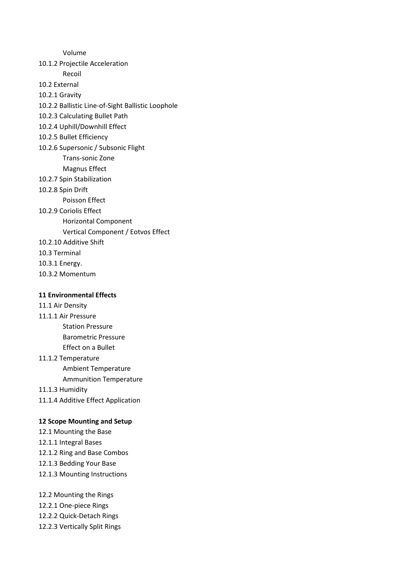Volume

- 10.1.2 Projectile Acceleration
	- Recoil
- 10.2 External
- 10.2.1 Gravity
- 10.2.2 Ballistic Line-of-Sight Ballistic Loophole
- 10.2.3 Calculating Bullet Path
- 10.2.4 Uphill/Downhill Effect
- 10.2.5 Bullet Efficiency
- 10.2.6 Supersonic / Subsonic Flight

Trans-sonic Zone

Magnus Effect

- 10.2.7 Spin Stabilization
- 10.2.8 Spin Drift

Poisson Effect

10.2.9 Coriolis Effect

Horizontal Component

Vertical Component / Eotvos Effect

- 10.2.10 Additive Shift
- 10.3 Terminal
- 10.3.1 Energy.
- 10.3.2 Momentum

### **11 Environmental Effects**

11.1 Air Density

## 11.1.1 Air Pressure

Station Pressure Barometric Pressure Effect on a Bullet

11.1.2 Temperature

Ambient Temperature

Ammunition Temperature

11.1.3 Humidity

11.1.4 Additive Effect Application

#### **12 Scope Mounting and Setup**

- 12.1 Mounting the Base
- 12.1.1 Integral Bases
- 12.1.2 Ring and Base Combos
- 12.1.3 Bedding Your Base
- 12.1.3 Mounting Instructions

12.2 Mounting the Rings

- 12.2.1 One-piece Rings
- 12.2.2 Quick-Detach Rings
- 12.2.3 Vertically Split Rings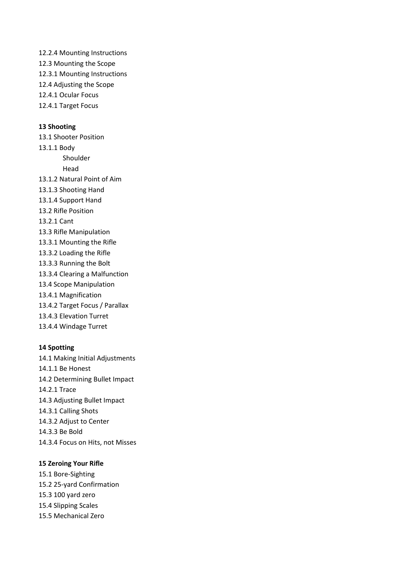12.2.4 Mounting Instructions 12.3 Mounting the Scope 12.3.1 Mounting Instructions 12.4 Adjusting the Scope 12.4.1 Ocular Focus 12.4.1 Target Focus

#### **13 Shooting**

13.1 Shooter Position 13.1.1 Body Shoulder Head 13.1.2 Natural Point of Aim 13.1.3 Shooting Hand 13.1.4 Support Hand 13.2 Rifle Position 13.2.1 Cant 13.3 Rifle Manipulation 13.3.1 Mounting the Rifle 13.3.2 Loading the Rifle 13.3.3 Running the Bolt 13.3.4 Clearing a Malfunction 13.4 Scope Manipulation 13.4.1 Magnification 13.4.2 Target Focus / Parallax 13.4.3 Elevation Turret 13.4.4 Windage Turret

#### **14 Spotting**

14.1 Making Initial Adjustments 14.1.1 Be Honest 14.2 Determining Bullet Impact 14.2.1 Trace 14.3 Adjusting Bullet Impact 14.3.1 Calling Shots 14.3.2 Adjust to Center 14.3.3 Be Bold 14.3.4 Focus on Hits, not Misses

## **15 Zeroing Your Rifle**

15.1 Bore-Sighting 15.2 25-yard Confirmation 15.3 100 yard zero 15.4 Slipping Scales 15.5 Mechanical Zero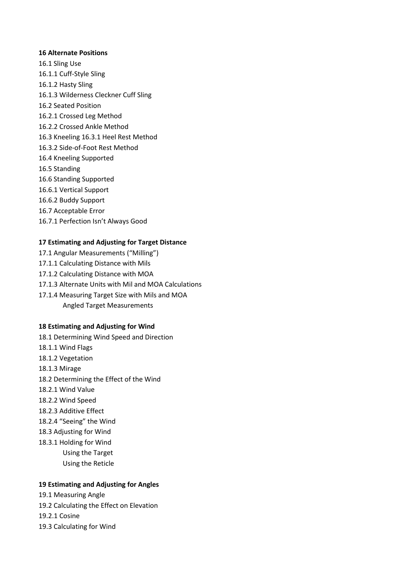#### **16 Alternate Positions**

16.1 Sling Use 16.1.1 Cuff-Style Sling 16.1.2 Hasty Sling 16.1.3 Wilderness Cleckner Cuff Sling 16.2 Seated Position 16.2.1 Crossed Leg Method 16.2.2 Crossed Ankle Method 16.3 Kneeling 16.3.1 Heel Rest Method 16.3.2 Side-of-Foot Rest Method 16.4 Kneeling Supported 16.5 Standing 16.6 Standing Supported 16.6.1 Vertical Support 16.6.2 Buddy Support 16.7 Acceptable Error 16.7.1 Perfection Isn't Always Good

#### **17 Estimating and Adjusting for Target Distance**

- 17.1 Angular Measurements ("Milling")
- 17.1.1 Calculating Distance with Mils
- 17.1.2 Calculating Distance with MOA
- 17.1.3 Alternate Units with Mil and MOA Calculations
- 17.1.4 Measuring Target Size with Mils and MOA Angled Target Measurements

#### **18 Estimating and Adjusting for Wind**

- 18.1 Determining Wind Speed and Direction
- 18.1.1 Wind Flags
- 18.1.2 Vegetation
- 18.1.3 Mirage
- 18.2 Determining the Effect of the Wind
- 18.2.1 Wind Value
- 18.2.2 Wind Speed
- 18.2.3 Additive Effect
- 18.2.4 "Seeing" the Wind
- 18.3 Adjusting for Wind
- 18.3.1 Holding for Wind Using the Target Using the Reticle

#### **19 Estimating and Adjusting for Angles**

- 19.1 Measuring Angle
- 19.2 Calculating the Effect on Elevation

19.2.1 Cosine

19.3 Calculating for Wind